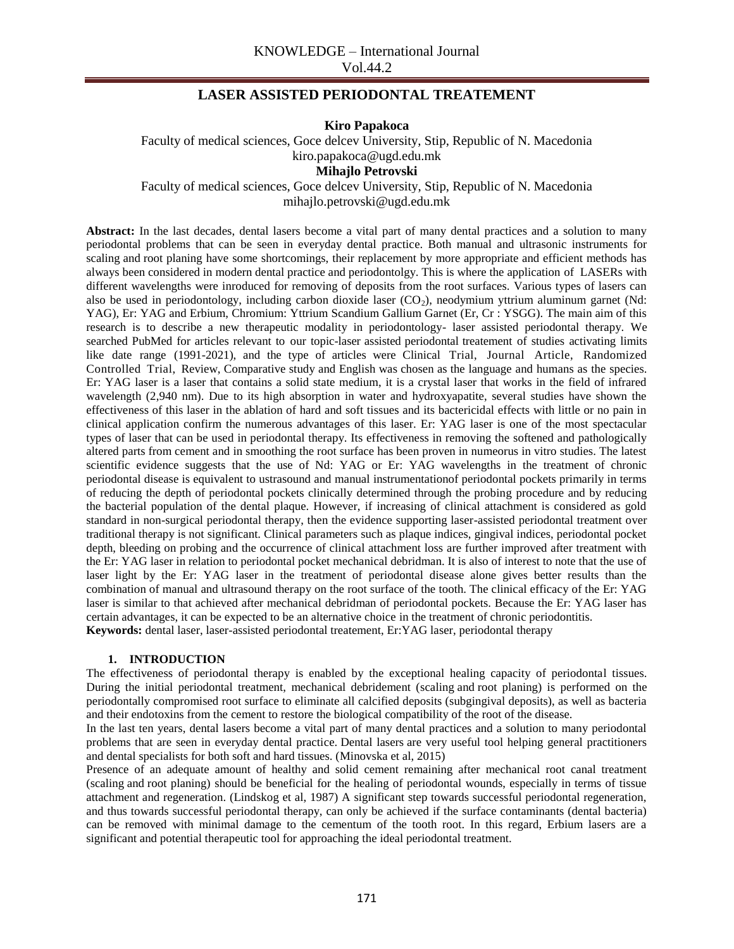# **LASER ASSISTED PERIODONTAL TREATEMENT**

**Kiro Papakoca**

Faculty of medical sciences, Goce delcev University, Stip, Republic of N. Macedonia kiro.papakoca@ugd.edu.mk

**Mihajlo Petrovski**

Faculty of medical sciences, Goce delcev University, Stip, Republic of N. Macedonia mihajlo.petrovski@ugd.edu.mk

**Abstract:** In the last decades, dental lasers become a vital part of many dental practices and a solution to many periodontal problems that can be seen in everyday dental practice. Both manual and ultrasonic instruments for scaling and root planing have some shortcomings, their replacement by more appropriate and efficient methods has always been considered in modern dental practice and periodontolgy. This is where the application of LASERs with different wavelengths were inroduced for removing of deposits from the root surfaces. Various types of lasers can also be used in periodontology, including carbon dioxide laser  $(CO<sub>2</sub>)$ , neodymium yttrium aluminum garnet (Nd: YAG), Er: YAG and Erbium, Chromium: Yttrium Scandium Gallium Garnet (Er, Cr : YSGG). The main aim of this research is to describe a new therapeutic modality in periodontology- laser assisted periodontal therapy. We searched PubMed for articles relevant to our topic-laser assisted periodontal treatement of studies activating limits like date range (1991-2021), and the type of articles were Clinical Trial, Journal Article, Randomized Controlled Trial, Review, Comparative study and English was chosen as the language and humans as the species. Er: YAG laser is a laser that contains a solid state medium, it is a crystal laser that works in the field of infrared wavelength (2,940 nm). Due to its high absorption in water and hydroxyapatite, several studies have shown the effectiveness of this laser in the ablation of hard and soft tissues and its bactericidal effects with little or no pain in clinical application confirm the numerous advantages of this laser. Er: YAG laser is one of the most spectacular types of laser that can be used in periodontal therapy. Its effectiveness in removing the softened and pathologically altered parts from cement and in smoothing the root surface has been proven in numeorus in vitro studies. The latest scientific evidence suggests that the use of Nd: YAG or Er: YAG wavelengths in the treatment of chronic periodontal disease is equivalent to ustrasound and manual instrumentationof periodontal pockets primarily in terms of reducing the depth of periodontal pockets clinically determined through the probing procedure and by reducing the bacterial population of the dental plaque. However, if increasing of clinical attachment is considered as gold standard in non-surgical periodontal therapy, then the evidence supporting laser-assisted periodontal treatment over traditional therapy is not significant. Clinical parameters such as plaque indices, gingival indices, periodontal pocket depth, bleeding on probing and the occurrence of clinical attachment loss are further improved after treatment with the Er: YAG laser in relation to periodontal pocket mechanical debridman. It is also of interest to note that the use of laser light by the Er: YAG laser in the treatment of periodontal disease alone gives better results than the combination of manual and ultrasound therapy on the root surface of the tooth. The clinical efficacy of the Er: YAG laser is similar to that achieved after mechanical debridman of periodontal pockets. Because the Er: YAG laser has certain advantages, it can be expected to be an alternative choice in the treatment of chronic periodontitis. **Keywords:** dental laser, laser-assisted periodontal treatement, Er:YAG laser, periodontal therapy

#### **1. INTRODUCTION**

The effectiveness of periodontal therapy is enabled by the exceptional healing capacity of periodontal tissues. During the initial periodontal treatment, mechanical debridement (scaling and root planing) is performed on the periodontally compromised root surface to eliminate all calcified deposits (subgingival deposits), as well as bacteria and their endotoxins from the cement to restore the biological compatibility of the root of the disease.

In the last ten years, dental lasers become a vital part of many dental practices and a solution to many periodontal problems that are seen in everyday dental practice. Dental lasers are very useful tool helping general practitioners and dental specialists for both soft and hard tissues. (Minovska et al, 2015)

Presence of an adequate amount of healthy and solid cement remaining after mechanical root canal treatment (scaling and root planing) should be beneficial for the healing of periodontal wounds, especially in terms of tissue attachment and regeneration. (Lindskog et al, 1987) A significant step towards successful periodontal regeneration, and thus towards successful periodontal therapy, can only be achieved if the surface contaminants (dental bacteria) can be removed with minimal damage to the cementum of the tooth root. In this regard, Erbium lasers are a significant and potential therapeutic tool for approaching the ideal periodontal treatment.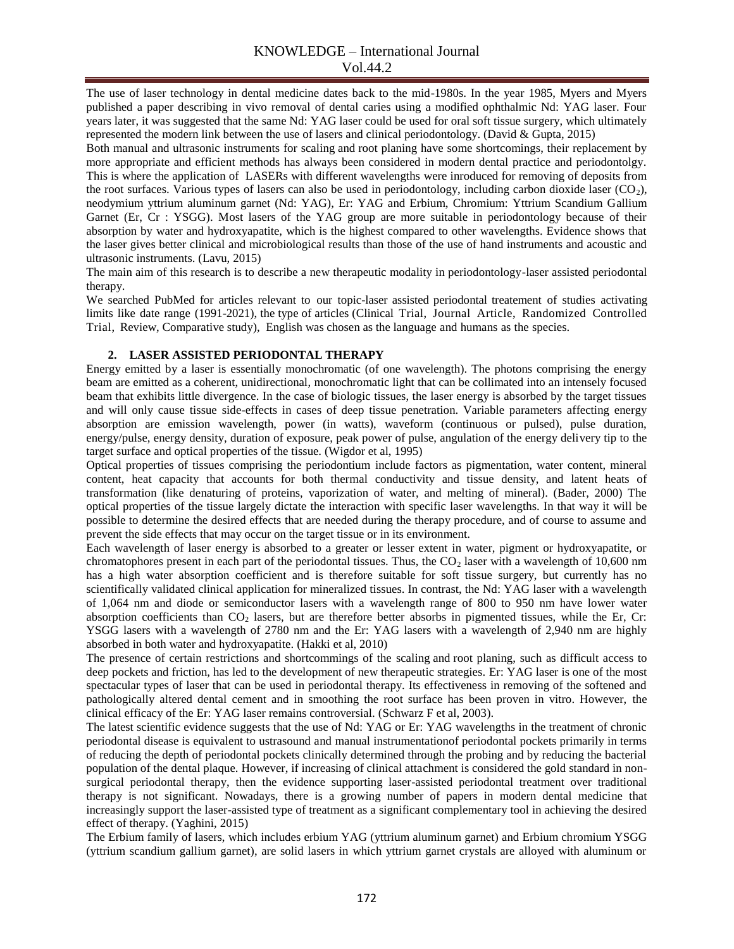The use of laser technology in dental medicine dates back to the mid-1980s. In the year 1985, Myers and Myers published a paper describing in vivo removal of dental caries using a modified ophthalmic Nd: YAG laser. Four years later, it was suggested that the same Nd: YAG laser could be used for oral soft tissue surgery, which ultimately represented the modern link between the use of lasers and clinical periodontology. (David & Gupta, 2015)

Both manual and ultrasonic instruments for scaling and root planing have some shortcomings, their replacement by more appropriate and efficient methods has always been considered in modern dental practice and periodontolgy. This is where the application of LASERs with different wavelengths were inroduced for removing of deposits from the root surfaces. Various types of lasers can also be used in periodontology, including carbon dioxide laser  $(CO<sub>2</sub>)$ , neodymium yttrium aluminum garnet (Nd: YAG), Er: YAG and Erbium, Chromium: Yttrium Scandium Gallium Garnet (Er, Cr : YSGG). Most lasers of the YAG group are more suitable in periodontology because of their absorption by water and hydroxyapatite, which is the highest compared to other wavelengths. Evidence shows that the laser gives better clinical and microbiological results than those of the use of hand instruments and acoustic and ultrasonic instruments. (Lavu, 2015)

The main aim of this research is to describe a new therapeutic modality in periodontology-laser assisted periodontal therapy.

We searched PubMed for articles relevant to our topic-laser assisted periodontal treatement of studies activating limits like date range (1991-2021), the type of articles (Clinical Trial, Journal Article, Randomized Controlled Trial, Review, Comparative study), English was chosen as the language and humans as the species.

## **2. LASER ASSISTED PERIODONTAL THERAPY**

Energy emitted by a laser is essentially monochromatic (of one wavelength). The photons comprising the energy beam are emitted as a coherent, unidirectional, monochromatic light that can be collimated into an intensely focused beam that exhibits little divergence. In the case of biologic tissues, the laser energy is absorbed by the target tissues and will only cause tissue side-effects in cases of deep tissue penetration. Variable parameters affecting energy absorption are emission wavelength, power (in watts), waveform (continuous or pulsed), pulse duration, energy/pulse, energy density, duration of exposure, peak power of pulse, angulation of the energy delivery tip to the target surface and optical properties of the tissue. (Wigdor et al, 1995)

Optical properties of tissues comprising the periodontium include factors as pigmentation, water content, mineral content, heat capacity that accounts for both thermal conductivity and tissue density, and latent heats of transformation (like denaturing of proteins, vaporization of water, and melting of mineral). (Bader, 2000) The optical properties of the tissue largely dictate the interaction with specific laser wavelengths. In that way it will be possible to determine the desired effects that are needed during the therapy procedure, and of course to assume and prevent the side effects that may occur on the target tissue or in its environment.

Each wavelength of laser energy is absorbed to a greater or lesser extent in water, pigment or hydroxyapatite, or chromatophores present in each part of the periodontal tissues. Thus, the  $CO<sub>2</sub>$  laser with a wavelength of 10,600 nm has a high water absorption coefficient and is therefore suitable for soft tissue surgery, but currently has no scientifically validated clinical application for mineralized tissues. In contrast, the Nd: YAG laser with a wavelength of 1,064 nm and diode or semiconductor lasers with a wavelength range of 800 to 950 nm have lower water absorption coefficients than CO<sub>2</sub> lasers, but are therefore better absorbs in pigmented tissues, while the Er, Cr: YSGG lasers with a wavelength of 2780 nm and the Er: YAG lasers with a wavelength of 2,940 nm are highly absorbed in both water and hydroxyapatite. (Hakki et al, 2010)

The presence of certain restrictions and shortcommings of the scaling and root planing, such as difficult access to deep pockets and friction, has led to the development of new therapeutic strategies. Er: YAG laser is one of the most spectacular types of laser that can be used in periodontal therapy. Its effectiveness in removing of the softened and pathologically altered dental cement and in smoothing the root surface has been proven in vitro. However, the clinical efficacy of the Er: YAG laser remains controversial. (Schwarz F et al, 2003).

The latest scientific evidence suggests that the use of Nd: YAG or Er: YAG wavelengths in the treatment of chronic periodontal disease is equivalent to ustrasound and manual instrumentationof periodontal pockets primarily in terms of reducing the depth of periodontal pockets clinically determined through the probing and by reducing the bacterial population of the dental plaque. However, if increasing of clinical attachment is considered the gold standard in nonsurgical periodontal therapy, then the evidence supporting laser-assisted periodontal treatment over traditional therapy is not significant. Nowadays, there is a growing number of papers in modern dental medicine that increasingly support the laser-assisted type of treatment as a significant complementary tool in achieving the desired effect of therapy. (Yaghini, 2015)

The Erbium family of lasers, which includes erbium YAG (yttrium aluminum garnet) and Erbium chromium YSGG (yttrium scandium gallium garnet), are solid lasers in which yttrium garnet crystals are alloyed with aluminum or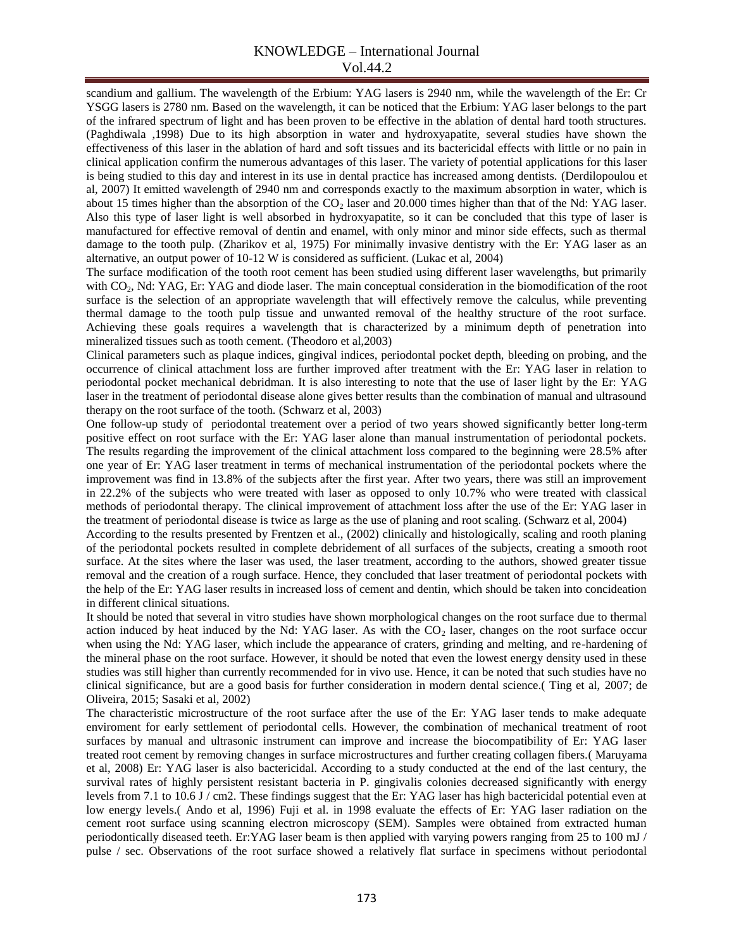## KNOWLEDGE – International Journal Vol.44.2

scandium and gallium. The wavelength of the Erbium: YAG lasers is 2940 nm, while the wavelength of the Er: Cr YSGG lasers is 2780 nm. Based on the wavelength, it can be noticed that the Erbium: YAG laser belongs to the part of the infrared spectrum of light and has been proven to be effective in the ablation of dental hard tooth structures. (Paghdiwala ,1998) Due to its high absorption in water and hydroxyapatite, several studies have shown the effectiveness of this laser in the ablation of hard and soft tissues and its bactericidal effects with little or no pain in clinical application confirm the numerous advantages of this laser. The variety of potential applications for this laser is being studied to this day and interest in its use in dental practice has increased among dentists. (Derdilopoulou et al, 2007) It emitted wavelength of 2940 nm and corresponds exactly to the maximum absorption in water, which is about 15 times higher than the absorption of the  $CO<sub>2</sub>$  laser and 20.000 times higher than that of the Nd: YAG laser. Also this type of laser light is well absorbed in hydroxyapatite, so it can be concluded that this type of laser is manufactured for effective removal of dentin and enamel, with only minor and minor side effects, such as thermal damage to the tooth pulp. (Zharikov et al, 1975) For minimally invasive dentistry with the Er: YAG laser as an alternative, an output power of 10-12 W is considered as sufficient. (Lukac et al, 2004)

The surface modification of the tooth root cement has been studied using different laser wavelengths, but primarily with CO<sub>2</sub>, Nd: YAG, Er: YAG and diode laser. The main conceptual consideration in the biomodification of the root surface is the selection of an appropriate wavelength that will effectively remove the calculus, while preventing thermal damage to the tooth pulp tissue and unwanted removal of the healthy structure of the root surface. Achieving these goals requires a wavelength that is characterized by a minimum depth of penetration into mineralized tissues such as tooth cement. (Theodoro et al,2003)

Clinical parameters such as plaque indices, gingival indices, periodontal pocket depth, bleeding on probing, and the occurrence of clinical attachment loss are further improved after treatment with the Er: YAG laser in relation to periodontal pocket mechanical debridman. It is also interesting to note that the use of laser light by the Er: YAG laser in the treatment of periodontal disease alone gives better results than the combination of manual and ultrasound therapy on the root surface of the tooth. (Schwarz et al, 2003)

One follow-up study of periodontal treatement over a period of two years showed significantly better long-term positive effect on root surface with the Er: YAG laser alone than manual instrumentation of periodontal pockets. The results regarding the improvement of the clinical attachment loss compared to the beginning were 28.5% after one year of Er: YAG laser treatment in terms of mechanical instrumentation of the periodontal pockets where the improvement was find in 13.8% of the subjects after the first year. After two years, there was still an improvement in 22.2% of the subjects who were treated with laser as opposed to only 10.7% who were treated with classical methods of periodontal therapy. The clinical improvement of attachment loss after the use of the Er: YAG laser in the treatment of periodontal disease is twice as large as the use of planing and root scaling. (Schwarz et al, 2004)

According to the results presented by Frentzen et al., (2002) clinically and histologically, scaling and rooth planing of the periodontal pockets resulted in complete debridement of all surfaces of the subjects, creating a smooth root surface. At the sites where the laser was used, the laser treatment, according to the authors, showed greater tissue removal and the creation of a rough surface. Hence, they concluded that laser treatment of periodontal pockets with the help of the Er: YAG laser results in increased loss of cement and dentin, which should be taken into concideation in different clinical situations.

It should be noted that several in vitro studies have shown morphological changes on the root surface due to thermal action induced by heat induced by the Nd: YAG laser. As with the  $CO<sub>2</sub>$  laser, changes on the root surface occur when using the Nd: YAG laser, which include the appearance of craters, grinding and melting, and re-hardening of the mineral phase on the root surface. However, it should be noted that even the lowest energy density used in these studies was still higher than currently recommended for in vivo use. Hence, it can be noted that such studies have no clinical significance, but are a good basis for further consideration in modern dental science.( Ting et al, 2007; de Oliveira, 2015; Sasaki et al, 2002)

The characteristic microstructure of the root surface after the use of the Er: YAG laser tends to make adequate enviroment for early settlement of periodontal cells. However, the combination of mechanical treatment of root surfaces by manual and ultrasonic instrument can improve and increase the biocompatibility of Er: YAG laser treated root cement by removing changes in surface microstructures and further creating collagen fibers.( Maruyama et al, 2008) Er: YAG laser is also bactericidal. According to a study conducted at the end of the last century, the survival rates of highly persistent resistant bacteria in P. gingivalis colonies decreased significantly with energy levels from 7.1 to 10.6 J / cm2. These findings suggest that the Er: YAG laser has high bactericidal potential even at low energy levels.( Ando et al, 1996) Fuji et al. in 1998 evaluate the effects of Er: YAG laser radiation on the cement root surface using scanning electron microscopy (SEM). Samples were obtained from extracted human periodontically diseased teeth. Er:YAG laser beam is then applied with varying powers ranging from 25 to 100 mJ / pulse / sec. Observations of the root surface showed a relatively flat surface in specimens without periodontal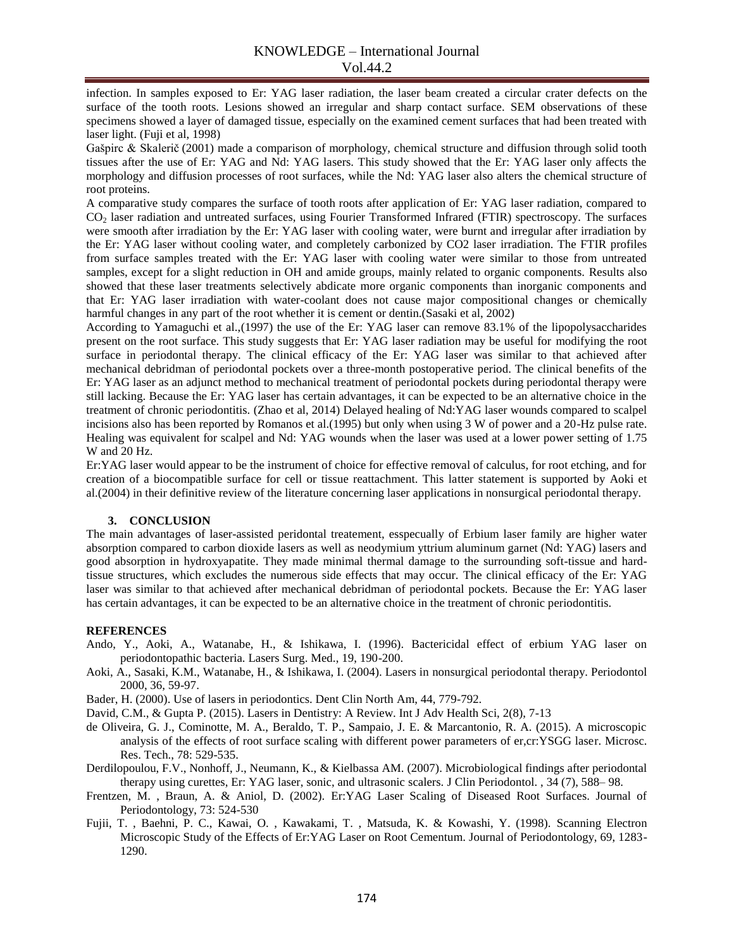infection. In samples exposed to Er: YAG laser radiation, the laser beam created a circular crater defects on the surface of the tooth roots. Lesions showed an irregular and sharp contact surface. SEM observations of these specimens showed a layer of damaged tissue, especially on the examined cement surfaces that had been treated with laser light. (Fuji et al, 1998)

Gašpirc & Skalerič (2001) made a comparison of morphology, chemical structure and diffusion through solid tooth tissues after the use of Er: YAG and Nd: YAG lasers. This study showed that the Er: YAG laser only affects the morphology and diffusion processes of root surfaces, while the Nd: YAG laser also alters the chemical structure of root proteins.

A comparative study compares the surface of tooth roots after application of Er: YAG laser radiation, compared to CO<sup>2</sup> laser radiation and untreated surfaces, using Fourier Transformed Infrared (FTIR) spectroscopy. The surfaces were smooth after irradiation by the Er: YAG laser with cooling water, were burnt and irregular after irradiation by the Er: YAG laser without cooling water, and completely carbonized by CO2 laser irradiation. The FTIR profiles from surface samples treated with the Er: YAG laser with cooling water were similar to those from untreated samples, except for a slight reduction in OH and amide groups, mainly related to organic components. Results also showed that these laser treatments selectively abdicate more organic components than inorganic components and that Er: YAG laser irradiation with water-coolant does not cause major compositional changes or chemically harmful changes in any part of the root whether it is cement or dentin.(Sasaki et al, 2002)

According to Yamaguchi et al.,(1997) the use of the Er: YAG laser can remove 83.1% of the lipopolysaccharides present on the root surface. This study suggests that Er: YAG laser radiation may be useful for modifying the root surface in periodontal therapy. The clinical efficacy of the Er: YAG laser was similar to that achieved after mechanical debridman of periodontal pockets over a three-month postoperative period. The clinical benefits of the Er: YAG laser as an adjunct method to mechanical treatment of periodontal pockets during periodontal therapy were still lacking. Because the Er: YAG laser has certain advantages, it can be expected to be an alternative choice in the treatment of chronic periodontitis. (Zhao et al, 2014) Delayed healing of Nd:YAG laser wounds compared to scalpel incisions also has been reported by Romanos et al.(1995) but only when using 3 W of power and a 20-Hz pulse rate. Healing was equivalent for scalpel and Nd: YAG wounds when the laser was used at a lower power setting of 1.75 W and 20 Hz.

Er:YAG laser would appear to be the instrument of choice for effective removal of calculus, for root etching, and for creation of a biocompatible surface for cell or tissue reattachment. This latter statement is supported by Aoki et al.(2004) in their definitive review of the literature concerning laser applications in nonsurgical periodontal therapy.

### **3. CONCLUSION**

The main advantages of laser-assisted peridontal treatement, esspecually of Erbium laser family are higher water absorption compared to carbon dioxide lasers as well as neodymium yttrium aluminum garnet (Nd: YAG) lasers and good absorption in hydroxyapatite. They made minimal thermal damage to the surrounding soft-tissue and hardtissue structures, which excludes the numerous side effects that may occur. The clinical efficacy of the Er: YAG laser was similar to that achieved after mechanical debridman of periodontal pockets. Because the Er: YAG laser has certain advantages, it can be expected to be an alternative choice in the treatment of chronic periodontitis.

### **REFERENCES**

- Ando, Y., Aoki, A., Watanabe, H., & Ishikawa, I. (1996). Bactericidal effect of erbium YAG laser on periodontopathic bacteria. Lasers Surg. Med., 19, 190-200.
- Aoki, A., Sasaki, K.M., Watanabe, H., & Ishikawa, I. (2004). Lasers in nonsurgical periodontal therapy. Periodontol 2000, 36, 59-97.
- Bader, H. (2000). Use of lasers in periodontics. Dent Clin North Am, 44, 779-792.
- David, C.M., & Gupta P. (2015). Lasers in Dentistry: A Review. Int J Adv Health Sci, 2(8), 7-13
- de Oliveira, G. J., Cominotte, M. A., Beraldo, T. P., Sampaio, J. E. & Marcantonio, R. A. (2015). A microscopic analysis of the effects of root surface scaling with different power parameters of er,cr:YSGG laser. Microsc. Res. Tech., 78: 529-535.
- Derdilopoulou, F.V., Nonhoff, J., Neumann, K., & Kielbassa AM. (2007). Microbiological findings after periodontal therapy using curettes, Er: YAG laser, sonic, and ultrasonic scalers. J Clin Periodontol. , 34 (7), 588– 98.
- Frentzen, M. , Braun, A. & Aniol, D. (2002). Er:YAG Laser Scaling of Diseased Root Surfaces. Journal of Periodontology, 73: 524-530
- Fujii, T. , Baehni, P. C., Kawai, O. , Kawakami, T. , Matsuda, K. & Kowashi, Y. (1998). Scanning Electron Microscopic Study of the Effects of Er:YAG Laser on Root Cementum. Journal of Periodontology, 69, 1283- 1290.